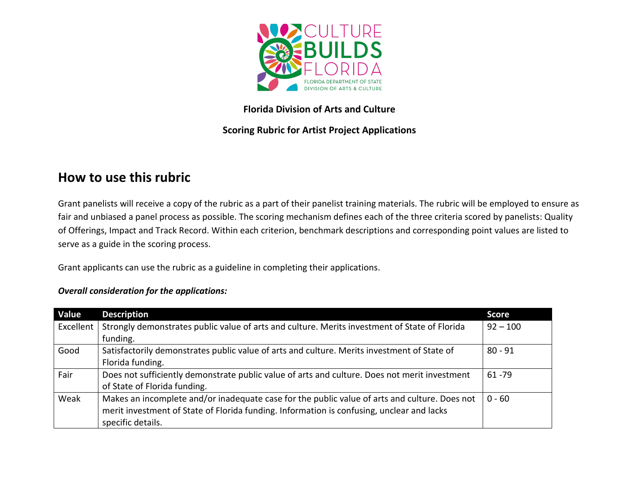

## **Florida Division of Arts and Culture**

# **Scoring Rubric for Artist Project Applications**

# **How to use this rubric**

Grant panelists will receive a copy of the rubric as a part of their panelist training materials. The rubric will be employed to ensure as fair and unbiased a panel process as possible. The scoring mechanism defines each of the three criteria scored by panelists: Quality of Offerings, Impact and Track Record. Within each criterion, benchmark descriptions and corresponding point values are listed to serve as a guide in the scoring process.

Grant applicants can use the rubric as a guideline in completing their applications.

#### *Overall consideration for the applications:*

| Value     | <b>Description</b>                                                                            | <b>Score</b> |
|-----------|-----------------------------------------------------------------------------------------------|--------------|
| Excellent | Strongly demonstrates public value of arts and culture. Merits investment of State of Florida | $92 - 100$   |
|           | funding.                                                                                      |              |
| Good      | Satisfactorily demonstrates public value of arts and culture. Merits investment of State of   | $80 - 91$    |
|           | Florida funding.                                                                              |              |
| Fair      | Does not sufficiently demonstrate public value of arts and culture. Does not merit investment | $61 - 79$    |
|           | of State of Florida funding.                                                                  |              |
| Weak      | Makes an incomplete and/or inadequate case for the public value of arts and culture. Does not | $0 - 60$     |
|           | merit investment of State of Florida funding. Information is confusing, unclear and lacks     |              |
|           | specific details.                                                                             |              |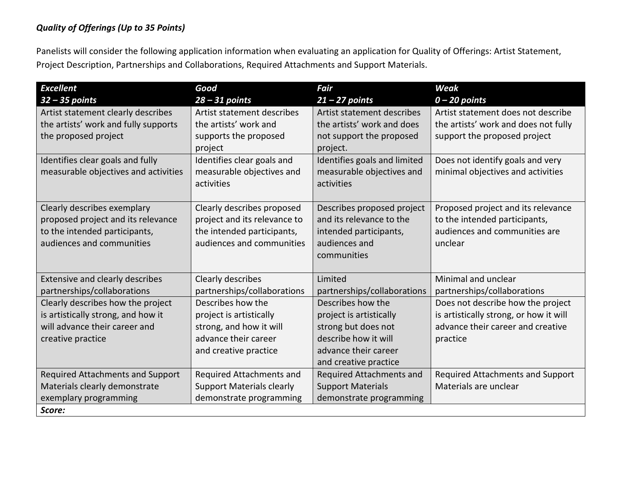#### *Quality of Offerings (Up to 35 Points)*

Panelists will consider the following application information when evaluating an application for Quality of Offerings: Artist Statement, Project Description, Partnerships and Collaborations, Required Attachments and Support Materials.

| <b>Excellent</b>                     | Good                             | <b>Fair</b>                          | Weak                                   |
|--------------------------------------|----------------------------------|--------------------------------------|----------------------------------------|
| $32 - 35$ points                     | $28 - 31$ points                 | $21 - 27$ points                     | $0 - 20$ points                        |
| Artist statement clearly describes   | Artist statement describes       | Artist statement describes           | Artist statement does not describe     |
| the artists' work and fully supports | the artists' work and            | the artists' work and does           | the artists' work and does not fully   |
| the proposed project                 | supports the proposed<br>project | not support the proposed<br>project. | support the proposed project           |
| Identifies clear goals and fully     | Identifies clear goals and       | Identifies goals and limited         | Does not identify goals and very       |
| measurable objectives and activities | measurable objectives and        | measurable objectives and            | minimal objectives and activities      |
|                                      | activities                       | activities                           |                                        |
| Clearly describes exemplary          | Clearly describes proposed       | Describes proposed project           | Proposed project and its relevance     |
| proposed project and its relevance   | project and its relevance to     | and its relevance to the             | to the intended participants,          |
| to the intended participants,        | the intended participants,       | intended participants,               | audiences and communities are          |
| audiences and communities            | audiences and communities        | audiences and                        | unclear                                |
|                                      |                                  | communities                          |                                        |
|                                      |                                  |                                      | Minimal and unclear                    |
| Extensive and clearly describes      | Clearly describes                | Limited                              |                                        |
| partnerships/collaborations          | partnerships/collaborations      | partnerships/collaborations          | partnerships/collaborations            |
| Clearly describes how the project    | Describes how the                | Describes how the                    | Does not describe how the project      |
| is artistically strong, and how it   | project is artistically          | project is artistically              | is artistically strong, or how it will |
| will advance their career and        | strong, and how it will          | strong but does not                  | advance their career and creative      |
| creative practice                    | advance their career             | describe how it will                 | practice                               |
|                                      | and creative practice            | advance their career                 |                                        |
|                                      |                                  | and creative practice                |                                        |
| Required Attachments and Support     | Required Attachments and         | Required Attachments and             | Required Attachments and Support       |
| Materials clearly demonstrate        | <b>Support Materials clearly</b> | <b>Support Materials</b>             | Materials are unclear                  |
| exemplary programming                | demonstrate programming          | demonstrate programming              |                                        |
| Score:                               |                                  |                                      |                                        |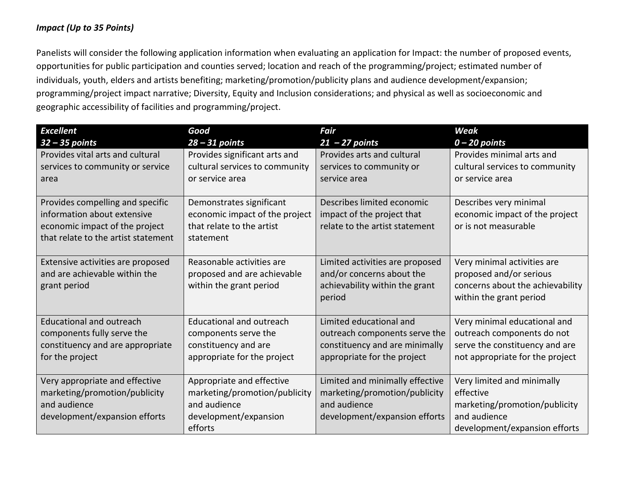#### *Impact (Up to 35 Points)*

Panelists will consider the following application information when evaluating an application for Impact: the number of proposed events, opportunities for public participation and counties served; location and reach of the programming/project; estimated number of individuals, youth, elders and artists benefiting; marketing/promotion/publicity plans and audience development/expansion; programming/project impact narrative; Diversity, Equity and Inclusion considerations; and physical as well as socioeconomic and geographic accessibility of facilities and programming/project.

| <b>Excellent</b>                                    | Good                                                | <b>Fair</b>                                                   | <b>Weak</b>                                                       |
|-----------------------------------------------------|-----------------------------------------------------|---------------------------------------------------------------|-------------------------------------------------------------------|
| $32 - 35$ points                                    | $28 - 31$ points                                    | $21 - 27$ points                                              | $0 - 20$ points                                                   |
| Provides vital arts and cultural                    | Provides significant arts and                       | Provides arts and cultural                                    | Provides minimal arts and                                         |
| services to community or service                    | cultural services to community                      | services to community or                                      | cultural services to community                                    |
| area                                                | or service area                                     | service area                                                  | or service area                                                   |
|                                                     |                                                     |                                                               |                                                                   |
| Provides compelling and specific                    | Demonstrates significant                            | Describes limited economic                                    | Describes very minimal                                            |
| information about extensive                         | economic impact of the project                      | impact of the project that                                    | economic impact of the project                                    |
| economic impact of the project                      | that relate to the artist                           | relate to the artist statement                                | or is not measurable                                              |
| that relate to the artist statement                 | statement                                           |                                                               |                                                                   |
| Extensive activities are proposed                   | Reasonable activities are                           | Limited activities are proposed                               | Very minimal activities are                                       |
| and are achievable within the                       | proposed and are achievable                         | and/or concerns about the                                     | proposed and/or serious                                           |
| grant period                                        | within the grant period                             | achievability within the grant                                | concerns about the achievability                                  |
|                                                     |                                                     | period                                                        | within the grant period                                           |
|                                                     |                                                     |                                                               |                                                                   |
| <b>Educational and outreach</b>                     | <b>Educational and outreach</b>                     | Limited educational and                                       | Very minimal educational and                                      |
| components fully serve the                          | components serve the                                | outreach components serve the                                 | outreach components do not                                        |
| constituency and are appropriate<br>for the project | constituency and are<br>appropriate for the project | constituency and are minimally<br>appropriate for the project | serve the constituency and are<br>not appropriate for the project |
|                                                     |                                                     |                                                               |                                                                   |
| Very appropriate and effective                      | Appropriate and effective                           | Limited and minimally effective                               | Very limited and minimally                                        |
| marketing/promotion/publicity                       | marketing/promotion/publicity                       | marketing/promotion/publicity                                 | effective                                                         |
| and audience                                        | and audience                                        | and audience                                                  | marketing/promotion/publicity                                     |
| development/expansion efforts                       | development/expansion                               | development/expansion efforts                                 | and audience                                                      |
|                                                     | efforts                                             |                                                               | development/expansion efforts                                     |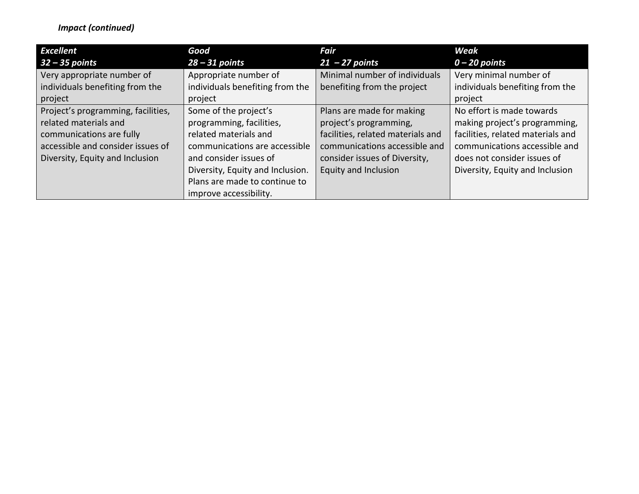## *Impact (continued)*

| <b>Excellent</b>                   | Good                             | Fair                              | Weak                              |
|------------------------------------|----------------------------------|-----------------------------------|-----------------------------------|
| 32 – 35 points                     | $28 - 31$ points                 | $21 - 27$ points                  | $0 - 20$ points                   |
| Very appropriate number of         | Appropriate number of            | Minimal number of individuals     | Very minimal number of            |
| individuals benefiting from the    | individuals benefiting from the  | benefiting from the project       | individuals benefiting from the   |
| project                            | project                          |                                   | project                           |
| Project's programming, facilities, | Some of the project's            | Plans are made for making         | No effort is made towards         |
| related materials and              | programming, facilities,         | project's programming,            | making project's programming,     |
| communications are fully           | related materials and            | facilities, related materials and | facilities, related materials and |
| accessible and consider issues of  | communications are accessible    | communications accessible and     | communications accessible and     |
| Diversity, Equity and Inclusion    | and consider issues of           | consider issues of Diversity,     | does not consider issues of       |
|                                    | Diversity, Equity and Inclusion. | Equity and Inclusion              | Diversity, Equity and Inclusion   |
|                                    | Plans are made to continue to    |                                   |                                   |
|                                    | improve accessibility.           |                                   |                                   |